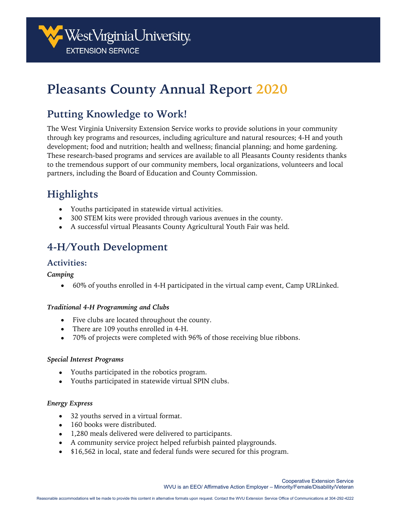

# **Pleasants County Annual Report 2020**

## **Putting Knowledge to Work!**

The West Virginia University Extension Service works to provide solutions in your community through key programs and resources, including agriculture and natural resources; 4-H and youth development; food and nutrition; health and wellness; financial planning; and home gardening. These research-based programs and services are available to all Pleasants County residents thanks to the tremendous support of our community members, local organizations, volunteers and local partners, including the Board of Education and County Commission.

# **Highlights**

- Youths participated in statewide virtual activities.
- 300 STEM kits were provided through various avenues in the county.
- A successful virtual Pleasants County Agricultural Youth Fair was held.

# **4-H/Youth Development**

#### **Activities:**

#### *Camping*

• 60% of youths enrolled in 4-H participated in the virtual camp event, Camp URLinked.

#### *Traditional 4-H Programming and Clubs*

- Five clubs are located throughout the county.
- There are 109 youths enrolled in 4-H.
- 70% of projects were completed with 96% of those receiving blue ribbons.

#### *Special Interest Programs*

- Youths participated in the robotics program.
- Youths participated in statewide virtual SPIN clubs.

#### *Energy Express*

- 32 youths served in a virtual format.
- 160 books were distributed.
- 1,280 meals delivered were delivered to participants.
- A community service project helped refurbish painted playgrounds.
- \$16,562 in local, state and federal funds were secured for this program.

Cooperative Extension Service WVU is an EEO/ Affirmative Action Employer – Minority/Female/Disability/Veteran